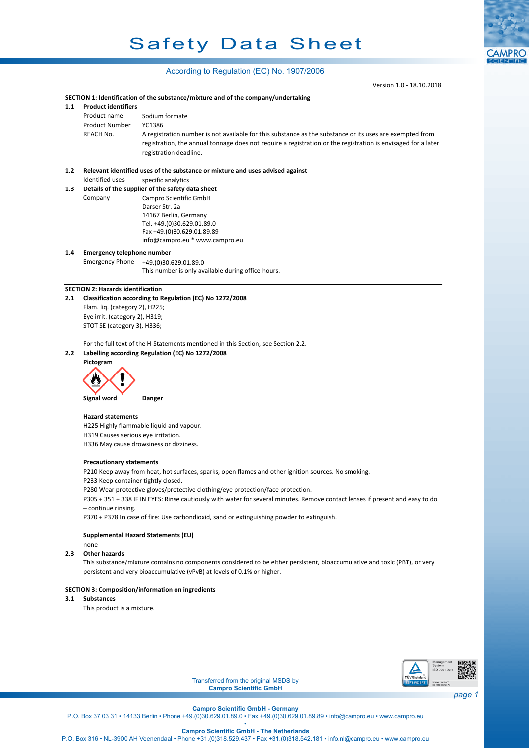# Safety Data Sheet

**CAMPRO** 

### According to Regulation (EC) No. 1907/2006

|                                     |                                                                                                                            | Version 1.0 - 18.10.2018                                                                                                      |        |  |  |  |  |
|-------------------------------------|----------------------------------------------------------------------------------------------------------------------------|-------------------------------------------------------------------------------------------------------------------------------|--------|--|--|--|--|
|                                     |                                                                                                                            | SECTION 1: Identification of the substance/mixture and of the company/undertaking                                             |        |  |  |  |  |
| 1.1                                 | <b>Product identifiers</b>                                                                                                 |                                                                                                                               |        |  |  |  |  |
|                                     | Product name                                                                                                               | Sodium formate                                                                                                                |        |  |  |  |  |
|                                     | <b>Product Number</b>                                                                                                      | YC1386                                                                                                                        |        |  |  |  |  |
|                                     |                                                                                                                            |                                                                                                                               |        |  |  |  |  |
|                                     | REACH No.                                                                                                                  | A registration number is not available for this substance as the substance or its uses are exempted from                      |        |  |  |  |  |
|                                     |                                                                                                                            | registration, the annual tonnage does not require a registration or the registration is envisaged for a later                 |        |  |  |  |  |
|                                     |                                                                                                                            | registration deadline.                                                                                                        |        |  |  |  |  |
|                                     |                                                                                                                            |                                                                                                                               |        |  |  |  |  |
| 1.2                                 |                                                                                                                            | Relevant identified uses of the substance or mixture and uses advised against                                                 |        |  |  |  |  |
|                                     | Identified uses                                                                                                            | specific analytics                                                                                                            |        |  |  |  |  |
| 1.3                                 |                                                                                                                            | Details of the supplier of the safety data sheet                                                                              |        |  |  |  |  |
|                                     | Company                                                                                                                    | Campro Scientific GmbH                                                                                                        |        |  |  |  |  |
|                                     |                                                                                                                            | Darser Str. 2a                                                                                                                |        |  |  |  |  |
|                                     |                                                                                                                            | 14167 Berlin, Germany                                                                                                         |        |  |  |  |  |
|                                     |                                                                                                                            | Tel. +49.(0)30.629.01.89.0                                                                                                    |        |  |  |  |  |
|                                     |                                                                                                                            | Fax +49.(0)30.629.01.89.89                                                                                                    |        |  |  |  |  |
|                                     |                                                                                                                            | info@campro.eu * www.campro.eu                                                                                                |        |  |  |  |  |
| 1.4                                 | <b>Emergency telephone number</b>                                                                                          |                                                                                                                               |        |  |  |  |  |
|                                     | <b>Emergency Phone</b>                                                                                                     | +49.(0)30.629.01.89.0                                                                                                         |        |  |  |  |  |
|                                     |                                                                                                                            | This number is only available during office hours.                                                                            |        |  |  |  |  |
|                                     |                                                                                                                            |                                                                                                                               |        |  |  |  |  |
|                                     | <b>SECTION 2: Hazards identification</b>                                                                                   |                                                                                                                               |        |  |  |  |  |
| 2.1                                 |                                                                                                                            | Classification according to Regulation (EC) No 1272/2008                                                                      |        |  |  |  |  |
|                                     | Flam. liq. (category 2), H225;                                                                                             |                                                                                                                               |        |  |  |  |  |
|                                     | Eye irrit. (category 2), H319;                                                                                             |                                                                                                                               |        |  |  |  |  |
|                                     |                                                                                                                            |                                                                                                                               |        |  |  |  |  |
|                                     | STOT SE (category 3), H336;                                                                                                |                                                                                                                               |        |  |  |  |  |
|                                     |                                                                                                                            |                                                                                                                               |        |  |  |  |  |
|                                     |                                                                                                                            | For the full text of the H-Statements mentioned in this Section, see Section 2.2.                                             |        |  |  |  |  |
| 2.2                                 |                                                                                                                            | Labelling according Regulation (EC) No 1272/2008                                                                              |        |  |  |  |  |
|                                     | Pictogram                                                                                                                  |                                                                                                                               |        |  |  |  |  |
|                                     |                                                                                                                            |                                                                                                                               |        |  |  |  |  |
|                                     |                                                                                                                            |                                                                                                                               |        |  |  |  |  |
|                                     |                                                                                                                            |                                                                                                                               |        |  |  |  |  |
|                                     | Signal word                                                                                                                | Danger                                                                                                                        |        |  |  |  |  |
|                                     |                                                                                                                            |                                                                                                                               |        |  |  |  |  |
|                                     | <b>Hazard statements</b>                                                                                                   |                                                                                                                               |        |  |  |  |  |
|                                     | H225 Highly flammable liquid and vapour.                                                                                   |                                                                                                                               |        |  |  |  |  |
| H319 Causes serious eye irritation. |                                                                                                                            |                                                                                                                               |        |  |  |  |  |
|                                     |                                                                                                                            | H336 May cause drowsiness or dizziness.                                                                                       |        |  |  |  |  |
|                                     |                                                                                                                            |                                                                                                                               |        |  |  |  |  |
|                                     | <b>Precautionary statements</b>                                                                                            |                                                                                                                               |        |  |  |  |  |
|                                     |                                                                                                                            | P210 Keep away from heat, hot surfaces, sparks, open flames and other ignition sources. No smoking.                           |        |  |  |  |  |
|                                     | P233 Keep container tightly closed.                                                                                        |                                                                                                                               |        |  |  |  |  |
|                                     |                                                                                                                            | P280 Wear protective gloves/protective clothing/eye protection/face protection.                                               |        |  |  |  |  |
|                                     |                                                                                                                            | P305 + 351 + 338 IF IN EYES: Rinse cautiously with water for several minutes. Remove contact lenses if present and easy to do |        |  |  |  |  |
|                                     | - continue rinsing.                                                                                                        |                                                                                                                               |        |  |  |  |  |
|                                     | P370 + P378 In case of fire: Use carbondioxid, sand or extinguishing powder to extinguish.                                 |                                                                                                                               |        |  |  |  |  |
|                                     |                                                                                                                            |                                                                                                                               |        |  |  |  |  |
|                                     |                                                                                                                            |                                                                                                                               |        |  |  |  |  |
|                                     | Supplemental Hazard Statements (EU)                                                                                        |                                                                                                                               |        |  |  |  |  |
|                                     | none                                                                                                                       |                                                                                                                               |        |  |  |  |  |
| 2.3                                 | <b>Other hazards</b>                                                                                                       |                                                                                                                               |        |  |  |  |  |
|                                     | This substance/mixture contains no components considered to be either persistent, bioaccumulative and toxic (PBT), or very |                                                                                                                               |        |  |  |  |  |
|                                     |                                                                                                                            | persistent and very bioaccumulative (vPvB) at levels of 0.1% or higher.                                                       |        |  |  |  |  |
|                                     |                                                                                                                            |                                                                                                                               |        |  |  |  |  |
|                                     |                                                                                                                            | <b>SECTION 3: Composition/information on ingredients</b>                                                                      |        |  |  |  |  |
| 3.1                                 | <b>Substances</b>                                                                                                          |                                                                                                                               |        |  |  |  |  |
|                                     | This product is a mixture.                                                                                                 |                                                                                                                               |        |  |  |  |  |
|                                     |                                                                                                                            |                                                                                                                               |        |  |  |  |  |
|                                     |                                                                                                                            |                                                                                                                               |        |  |  |  |  |
|                                     |                                                                                                                            |                                                                                                                               |        |  |  |  |  |
|                                     |                                                                                                                            |                                                                                                                               |        |  |  |  |  |
|                                     |                                                                                                                            |                                                                                                                               |        |  |  |  |  |
|                                     |                                                                                                                            | Management<br>System                                                                                                          |        |  |  |  |  |
|                                     |                                                                                                                            | ISO 9001:2015                                                                                                                 |        |  |  |  |  |
|                                     |                                                                                                                            | TŪVRheinlan<br>Transferred from the original MSDS by<br><b>ZERTIFIZIERT</b>                                                   |        |  |  |  |  |
|                                     |                                                                                                                            | www.tuv.com<br>ID 9108622470<br><b>Campro Scientific GmbH</b>                                                                 |        |  |  |  |  |
|                                     |                                                                                                                            |                                                                                                                               | page 1 |  |  |  |  |

**Campro Scientific GmbH - Germany**

P.O. Box 37 03 31 • 14133 Berlin • Phone +49.(0)30.629.01.89.0 • Fax +49.(0)30.629.01.89.89 • info@campro.eu •<www.campro.eu>

• **Campro Scientific GmbH - The Netherlands**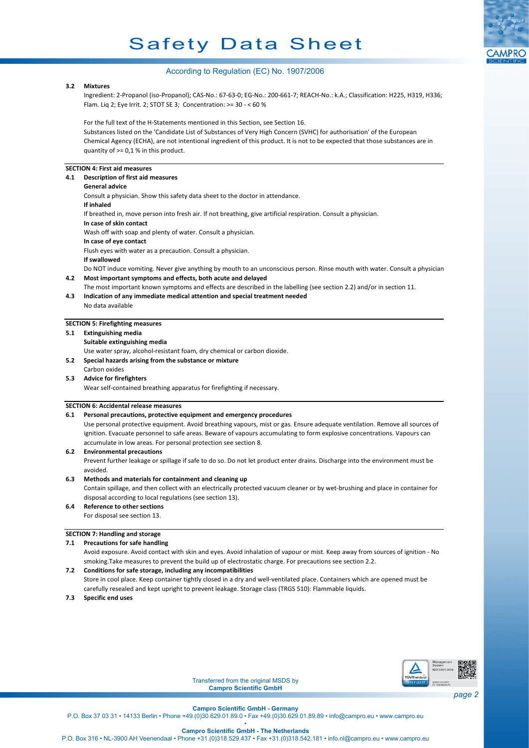# Safety Data Sheet



#### According to Regulation (EC) No. 1907/2006

#### **3.2 Mixtures**

Ingredient: 2-Propanol (iso-Propanol); CAS-No.: 67-63-0; EG-No.: 200-661-7; REACH-No.: k.A.; Classification: H225, H319, H336; Flam. Liq 2; Eye Irrit. 2; STOT SE 3; Concentration: >= 30 - < 60 %

For the full text of the H-Statements mentioned in this Section, see Section 16.

Substances listed on the 'Candidate List of Substances of Very High Concern (SVHC) for authorisation' of the European Chemical Agency (ECHA), are not intentional ingredient of this product. It is not to be expected that those substances are in quantity of >= 0,1 % in this product.

#### **SECTION 4: First aid measures**

#### **4.1 Description of first aid measures General advice** Consult a physician. Show this safety data sheet to the doctor in attendance. **If inhaled** If breathed in, move person into fresh air. If not breathing, give artificial respiration. Consult a physician. **In case of skin contact** Wash off with soap and plenty of water. Consult a physician. **In case of eye contact** Flush eyes with water as a precaution. Consult a physician. **If swallowed**

Do NOT induce vomiting. Never give anything by mouth to an unconscious person. Rinse mouth with water. Consult a physician.

- **4.2 Most important symptoms and effects, both acute and delayed**
- The most important known symptoms and effects are described in the labelling (see section 2.2) and/or in section 11. **4.3 Indication of any immediate medical attention and special treatment needed**
- No data available

#### **SECTION 5: Firefighting measures**

**5.1 Extinguishing media**

**Suitable extinguishing media**

Use water spray, alcohol-resistant foam, dry chemical or carbon dioxide.

- **5.2 Special hazards arising from the substance or mixture** Carbon oxides
- **5.3 Advice for firefighters**

Wear self-contained breathing apparatus for firefighting if necessary.

#### **SECTION 6: Accidental release measures**

#### **6.1 Personal precautions, protective equipment and emergency procedures**

Use personal protective equipment. Avoid breathing vapours, mist or gas. Ensure adequate ventilation. Remove all sources of ignition. Evacuate personnel to safe areas. Beware of vapours accumulating to form explosive concentrations. Vapours can accumulate in low areas. For personal protection see section 8.

#### **6.2 Environmental precautions**

Prevent further leakage or spillage if safe to do so. Do not let product enter drains. Discharge into the environment must be avoided.

#### **6.3 Methods and materials for containment and cleaning up**

Contain spillage, and then collect with an electrically protected vacuum cleaner or by wet-brushing and place in container for disposal according to local regulations (see section 13).

### **6.4 Reference to other sections**

For disposal see section 13.

#### **SECTION 7: Handling and storage**

**7.1 Precautions for safe handling**

Avoid exposure. Avoid contact with skin and eyes. Avoid inhalation of vapour or mist. Keep away from sources of ignition - No smoking.Take measures to prevent the build up of electrostatic charge. For precautions see section 2.2.

#### **7.2 Conditions for safe storage, including any incompatibilities**

Store in cool place. Keep container tightly closed in a dry and well-ventilated place. Containers which are opened must be carefully resealed and kept upright to prevent leakage. Storage class (TRGS 510): Flammable liquids.

#### **7.3 Specific end uses**



Transferred from the original MSDS by **Campro Scientific GmbH**

**Campro Scientific GmbH - Germany**

P.O. Box 37 03 31 • 14133 Berlin • Phone +49.(0)30.629.01.89.0 • Fax +49.(0)30.629.01.89.89 • info@campro.eu •<www.campro.eu>

• **Campro Scientific GmbH - The Netherlands**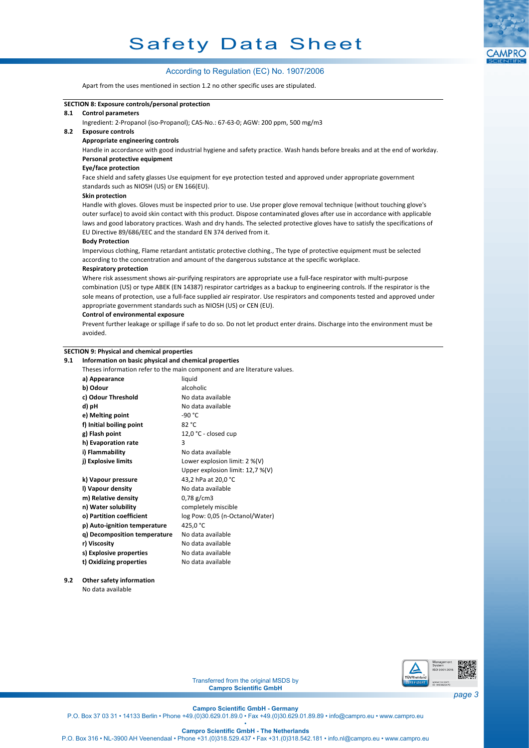#### According to Regulation (EC) No. 1907/2006

Apart from the uses mentioned in section 1.2 no other specific uses are stipulated.



**9.2 Other safety information** No data available



Transferred from the original MSDS by **Campro Scientific GmbH**

**Campro Scientific GmbH - Germany**

**Campro Scientific GmbH - The Netherlands**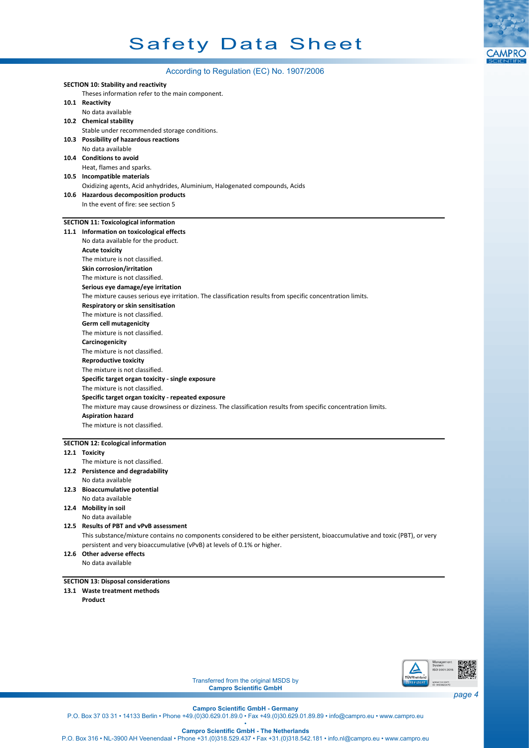

|  | According to Regulation (EC) No. 1907/2006                                                                                                                                 |  |  |  |  |  |
|--|----------------------------------------------------------------------------------------------------------------------------------------------------------------------------|--|--|--|--|--|
|  | <b>SECTION 10: Stability and reactivity</b>                                                                                                                                |  |  |  |  |  |
|  | Theses information refer to the main component.                                                                                                                            |  |  |  |  |  |
|  | 10.1 Reactivity                                                                                                                                                            |  |  |  |  |  |
|  | No data available                                                                                                                                                          |  |  |  |  |  |
|  | 10.2 Chemical stability                                                                                                                                                    |  |  |  |  |  |
|  | Stable under recommended storage conditions.                                                                                                                               |  |  |  |  |  |
|  | 10.3 Possibility of hazardous reactions                                                                                                                                    |  |  |  |  |  |
|  | No data available                                                                                                                                                          |  |  |  |  |  |
|  | 10.4 Conditions to avoid                                                                                                                                                   |  |  |  |  |  |
|  | Heat, flames and sparks.                                                                                                                                                   |  |  |  |  |  |
|  | 10.5 Incompatible materials                                                                                                                                                |  |  |  |  |  |
|  | Oxidizing agents, Acid anhydrides, Aluminium, Halogenated compounds, Acids                                                                                                 |  |  |  |  |  |
|  | 10.6 Hazardous decomposition products                                                                                                                                      |  |  |  |  |  |
|  | In the event of fire: see section 5                                                                                                                                        |  |  |  |  |  |
|  |                                                                                                                                                                            |  |  |  |  |  |
|  | <b>SECTION 11: Toxicological information</b>                                                                                                                               |  |  |  |  |  |
|  | 11.1 Information on toxicological effects                                                                                                                                  |  |  |  |  |  |
|  | No data available for the product.                                                                                                                                         |  |  |  |  |  |
|  | <b>Acute toxicity</b>                                                                                                                                                      |  |  |  |  |  |
|  | The mixture is not classified.                                                                                                                                             |  |  |  |  |  |
|  | Skin corrosion/irritation                                                                                                                                                  |  |  |  |  |  |
|  | The mixture is not classified.                                                                                                                                             |  |  |  |  |  |
|  | Serious eye damage/eye irritation                                                                                                                                          |  |  |  |  |  |
|  | The mixture causes serious eye irritation. The classification results from specific concentration limits.                                                                  |  |  |  |  |  |
|  | Respiratory or skin sensitisation                                                                                                                                          |  |  |  |  |  |
|  | The mixture is not classified.                                                                                                                                             |  |  |  |  |  |
|  | Germ cell mutagenicity                                                                                                                                                     |  |  |  |  |  |
|  | The mixture is not classified.                                                                                                                                             |  |  |  |  |  |
|  | Carcinogenicity                                                                                                                                                            |  |  |  |  |  |
|  | The mixture is not classified.                                                                                                                                             |  |  |  |  |  |
|  | <b>Reproductive toxicity</b>                                                                                                                                               |  |  |  |  |  |
|  | The mixture is not classified.<br>Specific target organ toxicity - single exposure<br>The mixture is not classified.<br>Specific target organ toxicity - repeated exposure |  |  |  |  |  |
|  |                                                                                                                                                                            |  |  |  |  |  |
|  |                                                                                                                                                                            |  |  |  |  |  |
|  |                                                                                                                                                                            |  |  |  |  |  |
|  | The mixture may cause drowsiness or dizziness. The classification results from specific concentration limits.                                                              |  |  |  |  |  |
|  | <b>Aspiration hazard</b><br>The mixture is not classified.                                                                                                                 |  |  |  |  |  |
|  |                                                                                                                                                                            |  |  |  |  |  |
|  | <b>SECTION 12: Ecological information</b>                                                                                                                                  |  |  |  |  |  |
|  | 12.1 Toxicity                                                                                                                                                              |  |  |  |  |  |
|  | The mixture is not classified.                                                                                                                                             |  |  |  |  |  |
|  | 12.2 Persistence and degradability                                                                                                                                         |  |  |  |  |  |
|  | No data available                                                                                                                                                          |  |  |  |  |  |
|  | 12.3 Bioaccumulative potential                                                                                                                                             |  |  |  |  |  |
|  | No data available                                                                                                                                                          |  |  |  |  |  |
|  | 12.4 Mobility in soil                                                                                                                                                      |  |  |  |  |  |
|  | No data available                                                                                                                                                          |  |  |  |  |  |
|  | 12.5 Results of PBT and vPvB assessment                                                                                                                                    |  |  |  |  |  |
|  | This substance/mixture contains no components considered to be either persistent, bioaccumulative and toxic (PBT), or very                                                 |  |  |  |  |  |
|  | persistent and very bioaccumulative (vPvB) at levels of 0.1% or higher.                                                                                                    |  |  |  |  |  |
|  | 12.6 Other adverse effects                                                                                                                                                 |  |  |  |  |  |
|  | No data available                                                                                                                                                          |  |  |  |  |  |
|  |                                                                                                                                                                            |  |  |  |  |  |
|  | <b>SECTION 13: Disposal considerations</b>                                                                                                                                 |  |  |  |  |  |
|  | 13.1 Waste treatment methods                                                                                                                                               |  |  |  |  |  |
|  | Product                                                                                                                                                                    |  |  |  |  |  |
|  |                                                                                                                                                                            |  |  |  |  |  |
|  |                                                                                                                                                                            |  |  |  |  |  |
|  |                                                                                                                                                                            |  |  |  |  |  |
|  |                                                                                                                                                                            |  |  |  |  |  |
|  |                                                                                                                                                                            |  |  |  |  |  |
|  |                                                                                                                                                                            |  |  |  |  |  |



Transferred from the original MSDS by **Campro Scientific GmbH**

**Campro Scientific GmbH - Germany**

P.O. Box 37 03 31 • 14133 Berlin • Phone +49.(0)30.629.01.89.0 • Fax +49.(0)30.629.01.89.89 • info@campro.eu •<www.campro.eu>

• **Campro Scientific GmbH - The Netherlands** P.O. Box 316 • NL-3900 AH Veenendaal • Phone +31.(0)318.529.437 • Fax +31.(0)318.542.181 • info.nl@campro.eu • <www.campro.eu>